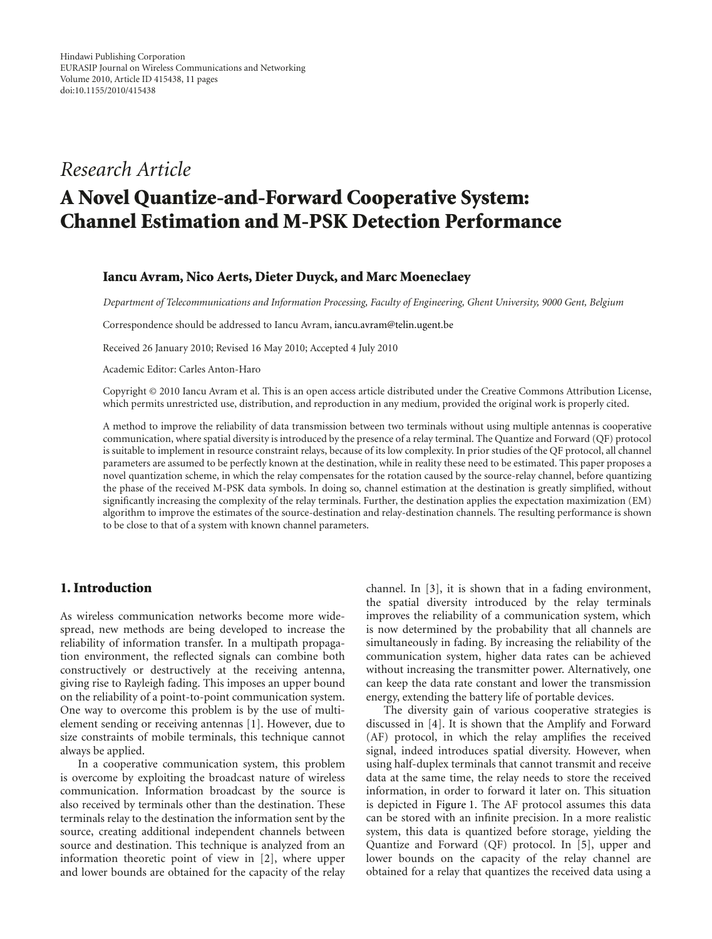### *Research Article*

## **A Novel Quantize-and-Forward Cooperative System: Channel Estimation and M-PSK Detection Performance**

#### **Iancu Avram, Nico Aerts, Dieter Duyck, and Marc Moeneclaey**

*Department of Telecommunications and Information Processing, Faculty of Engineering, Ghent University, 9000 Gent, Belgium*

Correspondence should be addressed to Iancu Avram, iancu.avram@telin.ugent.be

Received 26 January 2010; Revised 16 May 2010; Accepted 4 July 2010

Academic Editor: Carles Anton-Haro

Copyright © 2010 Iancu Avram et al. This is an open access article distributed under the Creative Commons Attribution License, which permits unrestricted use, distribution, and reproduction in any medium, provided the original work is properly cited.

A method to improve the reliability of data transmission between two terminals without using multiple antennas is cooperative communication, where spatial diversity is introduced by the presence of a relay terminal. The Quantize and Forward (QF) protocol is suitable to implement in resource constraint relays, because of its low complexity. In prior studies of the QF protocol, all channel parameters are assumed to be perfectly known at the destination, while in reality these need to be estimated. This paper proposes a novel quantization scheme, in which the relay compensates for the rotation caused by the source-relay channel, before quantizing the phase of the received M-PSK data symbols. In doing so, channel estimation at the destination is greatly simplified, without significantly increasing the complexity of the relay terminals. Further, the destination applies the expectation maximization (EM) algorithm to improve the estimates of the source-destination and relay-destination channels. The resulting performance is shown to be close to that of a system with known channel parameters.

#### **1. Introduction**

As wireless communication networks become more widespread, new methods are being developed to increase the reliability of information transfer. In a multipath propagation environment, the reflected signals can combine both constructively or destructively at the receiving antenna, giving rise to Rayleigh fading. This imposes an upper bound on the reliability of a point-to-point communication system. One way to overcome this problem is by the use of multielement sending or receiving antennas [1]. However, due to size constraints of mobile terminals, this technique cannot always be applied.

In a cooperative communication system, this problem is overcome by exploiting the broadcast nature of wireless communication. Information broadcast by the source is also received by terminals other than the destination. These terminals relay to the destination the information sent by the source, creating additional independent channels between source and destination. This technique is analyzed from an information theoretic point of view in [2], where upper and lower bounds are obtained for the capacity of the relay

channel. In [3], it is shown that in a fading environment, the spatial diversity introduced by the relay terminals improves the reliability of a communication system, which is now determined by the probability that all channels are simultaneously in fading. By increasing the reliability of the communication system, higher data rates can be achieved without increasing the transmitter power. Alternatively, one can keep the data rate constant and lower the transmission energy, extending the battery life of portable devices.

The diversity gain of various cooperative strategies is discussed in [4]. It is shown that the Amplify and Forward (AF) protocol, in which the relay amplifies the received signal, indeed introduces spatial diversity. However, when using half-duplex terminals that cannot transmit and receive data at the same time, the relay needs to store the received information, in order to forward it later on. This situation is depicted in Figure 1. The AF protocol assumes this data can be stored with an infinite precision. In a more realistic system, this data is quantized before storage, yielding the Quantize and Forward (QF) protocol. In [5], upper and lower bounds on the capacity of the relay channel are obtained for a relay that quantizes the received data using a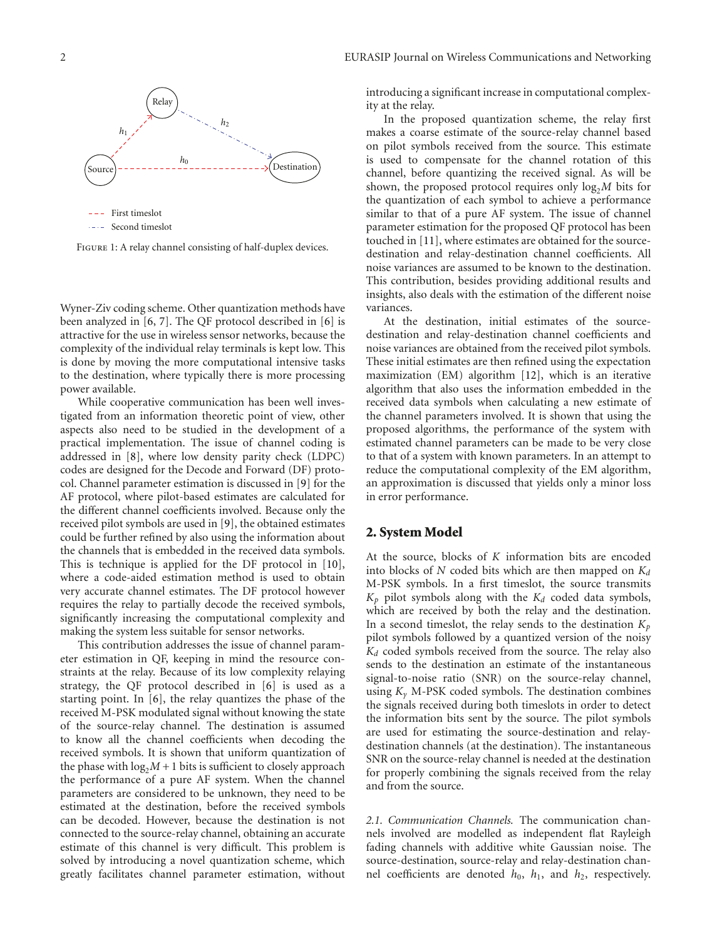

FIGURE 1: A relay channel consisting of half-duplex devices.

Wyner-Ziv coding scheme. Other quantization methods have been analyzed in [6, 7]. The QF protocol described in [6] is attractive for the use in wireless sensor networks, because the complexity of the individual relay terminals is kept low. This is done by moving the more computational intensive tasks to the destination, where typically there is more processing power available.

While cooperative communication has been well investigated from an information theoretic point of view, other aspects also need to be studied in the development of a practical implementation. The issue of channel coding is addressed in [8], where low density parity check (LDPC) codes are designed for the Decode and Forward (DF) protocol. Channel parameter estimation is discussed in [9] for the AF protocol, where pilot-based estimates are calculated for the different channel coefficients involved. Because only the received pilot symbols are used in [9], the obtained estimates could be further refined by also using the information about the channels that is embedded in the received data symbols. This is technique is applied for the DF protocol in [10], where a code-aided estimation method is used to obtain very accurate channel estimates. The DF protocol however requires the relay to partially decode the received symbols, significantly increasing the computational complexity and making the system less suitable for sensor networks.

This contribution addresses the issue of channel parameter estimation in QF, keeping in mind the resource constraints at the relay. Because of its low complexity relaying strategy, the QF protocol described in [6] is used as a starting point. In [6], the relay quantizes the phase of the received M-PSK modulated signal without knowing the state of the source-relay channel. The destination is assumed to know all the channel coefficients when decoding the received symbols. It is shown that uniform quantization of the phase with  $log_2M + 1$  bits is sufficient to closely approach the performance of a pure AF system. When the channel parameters are considered to be unknown, they need to be estimated at the destination, before the received symbols can be decoded. However, because the destination is not connected to the source-relay channel, obtaining an accurate estimate of this channel is very difficult. This problem is solved by introducing a novel quantization scheme, which greatly facilitates channel parameter estimation, without

introducing a significant increase in computational complexity at the relay.

In the proposed quantization scheme, the relay first makes a coarse estimate of the source-relay channel based on pilot symbols received from the source. This estimate is used to compensate for the channel rotation of this channel, before quantizing the received signal. As will be shown, the proposed protocol requires only  $log<sub>2</sub>M$  bits for the quantization of each symbol to achieve a performance similar to that of a pure AF system. The issue of channel parameter estimation for the proposed QF protocol has been touched in [11], where estimates are obtained for the sourcedestination and relay-destination channel coefficients. All noise variances are assumed to be known to the destination. This contribution, besides providing additional results and insights, also deals with the estimation of the different noise variances.

At the destination, initial estimates of the sourcedestination and relay-destination channel coefficients and noise variances are obtained from the received pilot symbols. These initial estimates are then refined using the expectation maximization (EM) algorithm [12], which is an iterative algorithm that also uses the information embedded in the received data symbols when calculating a new estimate of the channel parameters involved. It is shown that using the proposed algorithms, the performance of the system with estimated channel parameters can be made to be very close to that of a system with known parameters. In an attempt to reduce the computational complexity of the EM algorithm, an approximation is discussed that yields only a minor loss in error performance.

#### **2. System Model**

At the source, blocks of *K* information bits are encoded into blocks of  $N$  coded bits which are then mapped on  $K_d$ M-PSK symbols. In a first timeslot, the source transmits  $K_p$  pilot symbols along with the  $K_d$  coded data symbols, which are received by both the relay and the destination. In a second timeslot, the relay sends to the destination  $K_p$ pilot symbols followed by a quantized version of the noisy *Kd* coded symbols received from the source. The relay also sends to the destination an estimate of the instantaneous signal-to-noise ratio (SNR) on the source-relay channel, using *Kγ* M-PSK coded symbols. The destination combines the signals received during both timeslots in order to detect the information bits sent by the source. The pilot symbols are used for estimating the source-destination and relaydestination channels (at the destination). The instantaneous SNR on the source-relay channel is needed at the destination for properly combining the signals received from the relay and from the source.

*2.1. Communication Channels.* The communication channels involved are modelled as independent flat Rayleigh fading channels with additive white Gaussian noise. The source-destination, source-relay and relay-destination channel coefficients are denoted *h*0, *h*1, and *h*2, respectively.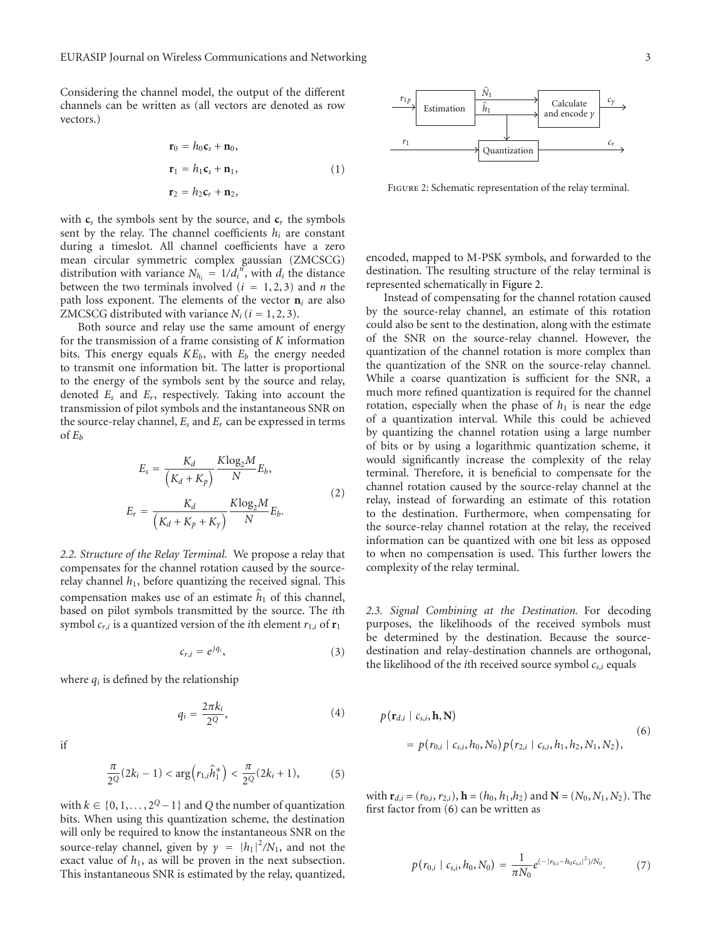Considering the channel model, the output of the different channels can be written as (all vectors are denoted as row vectors.)

$$
\mathbf{r}_0 = h_0 \mathbf{c}_s + \mathbf{n}_0,
$$
  
\n
$$
\mathbf{r}_1 = h_1 \mathbf{c}_s + \mathbf{n}_1,
$$
  
\n
$$
\mathbf{r}_2 = h_2 \mathbf{c}_r + \mathbf{n}_2,
$$
\n(1)

with  $c_s$  the symbols sent by the source, and  $c_r$  the symbols sent by the relay. The channel coefficients  $h_i$  are constant during a timeslot. All channel coefficients have a zero mean circular symmetric complex gaussian (ZMCSCG) distribution with variance  $N_{h_i} = 1/d_i^b$ , with  $d_i$  the distance between the two terminals involved  $(i = 1, 2, 3)$  and *n* the path loss exponent. The elements of the vector  $\mathbf{n}_i$  are also ZMCSCG distributed with variance  $N_i$  ( $i = 1, 2, 3$ ).

Both source and relay use the same amount of energy for the transmission of a frame consisting of *K* information bits. This energy equals  $KE_b$ , with  $E_b$  the energy needed to transmit one information bit. The latter is proportional to the energy of the symbols sent by the source and relay, denoted *Es* and *Er*, respectively. Taking into account the transmission of pilot symbols and the instantaneous SNR on the source-relay channel, *Es* and *Er* can be expressed in terms of  $E_b$ 

$$
E_s = \frac{K_d}{\left(K_d + K_p\right)} \frac{K \log_2 M}{N} E_b,
$$
\n
$$
E_r = \frac{K_d}{\left(K_d + K_p + K_y\right)} \frac{K \log_2 M}{N} E_b.
$$
\n(2)

*2.2. Structure of the Relay Terminal.* We propose a relay that compensates for the channel rotation caused by the sourcerelay channel  $h_1$ , before quantizing the received signal. This compensation makes use of an estimate  $\hat{h}_1$  of this channel, based on pilot symbols transmitted by the source. The *i*th symbol  $c_{r,i}$  is a quantized version of the *i*th element  $r_{1,i}$  of  $r_1$ 

$$
c_{r,i} = e^{jq_i}, \tag{3}
$$

where  $q_i$  is defined by the relationship

$$
q_i = \frac{2\pi k_i}{2^Q},\tag{4}
$$

if

$$
\frac{\pi}{2^{Q}}(2k_{i}-1) < \arg(r_{1,i}\hat{h}_{1}^{*}) < \frac{\pi}{2^{Q}}(2k_{i}+1),\tag{5}
$$

with  $k \in \{0, 1, ..., 2^Q - 1\}$  and *Q* the number of quantization bits. When using this quantization scheme, the destination will only be required to know the instantaneous SNR on the source-relay channel, given by  $\gamma = |h_1|^2/N_1$ , and not the exact value of  $h_1$ , as will be proven in the next subsection. This instantaneous SNR is estimated by the relay, quantized,



Figure 2: Schematic representation of the relay terminal.

encoded, mapped to M-PSK symbols, and forwarded to the destination. The resulting structure of the relay terminal is represented schematically in Figure 2.

Instead of compensating for the channel rotation caused by the source-relay channel, an estimate of this rotation could also be sent to the destination, along with the estimate of the SNR on the source-relay channel. However, the quantization of the channel rotation is more complex than the quantization of the SNR on the source-relay channel. While a coarse quantization is sufficient for the SNR, a much more refined quantization is required for the channel rotation, especially when the phase of  $h_1$  is near the edge of a quantization interval. While this could be achieved by quantizing the channel rotation using a large number of bits or by using a logarithmic quantization scheme, it would significantly increase the complexity of the relay terminal. Therefore, it is beneficial to compensate for the channel rotation caused by the source-relay channel at the relay, instead of forwarding an estimate of this rotation to the destination. Furthermore, when compensating for the source-relay channel rotation at the relay, the received information can be quantized with one bit less as opposed to when no compensation is used. This further lowers the complexity of the relay terminal.

*2.3. Signal Combining at the Destination.* For decoding purposes, the likelihoods of the received symbols must be determined by the destination. Because the sourcedestination and relay-destination channels are orthogonal, the likelihood of the *i*th received source symbol *cs*,*<sup>i</sup>* equals

$$
p(\mathbf{r}_{d,i} \mid c_{s,i}, \mathbf{h}, \mathbf{N})
$$
  
=  $p(r_{0,i} \mid c_{s,i}, h_0, N_0) p(r_{2,i} \mid c_{s,i}, h_1, h_2, N_1, N_2),$  (6)

with  $\mathbf{r}_{d,i} = (r_{0,i}, r_{2,i})$ ,  $\mathbf{h} = (h_0, h_1, h_2)$  and  $\mathbf{N} = (N_0, N_1, N_2)$ . The first factor from (6) can be written as

$$
p(r_{0,i} \mid c_{s,i}, h_0, N_0) = \frac{1}{\pi N_0} e^{(-|r_{0,i} - h_0 c_{s,i}|^2)/N_0}.
$$
 (7)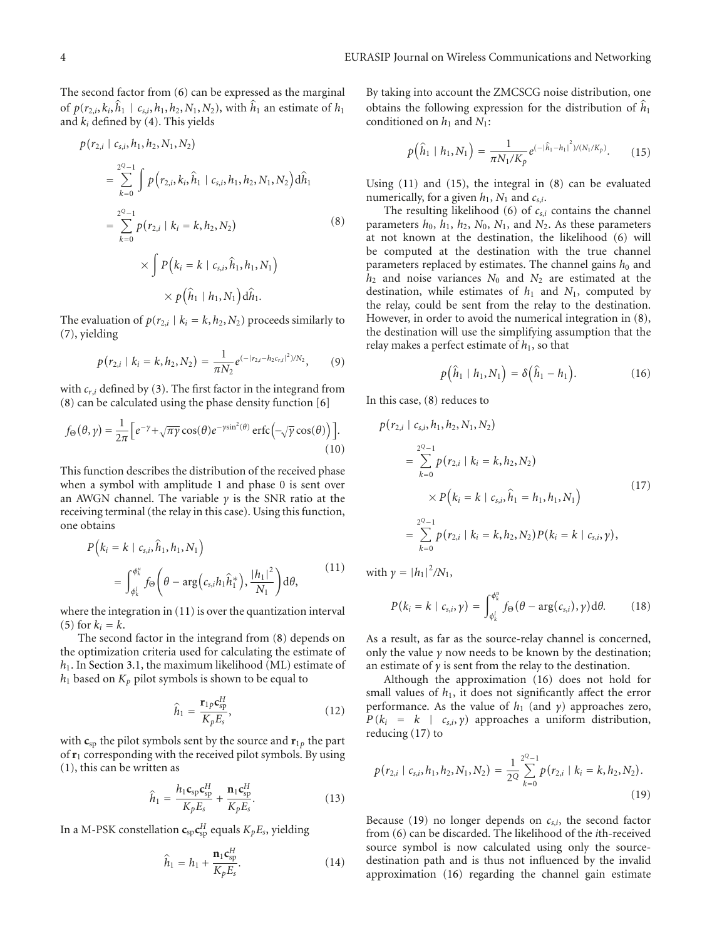The second factor from (6) can be expressed as the marginal of  $p(r_{2,i}, k_i, \hat{h}_1 | c_{s,i}, h_1, h_2, N_1, N_2)$ , with  $\hat{h}_1$  an estimate of  $h_1$ and *ki* defined by (4). This yields

$$
(r_{2,i} \mid c_{s,i}, h_1, h_2, N_1, N_2)
$$
\n
$$
= \sum_{k=0}^{2^Q-1} \int p(r_{2,i}, k_i, \hat{h}_1 \mid c_{s,i}, h_1, h_2, N_1, N_2) d\hat{h}_1
$$
\n
$$
= \sum_{k=0}^{2^Q-1} p(r_{2,i} \mid k_i = k, h_2, N_2)
$$
\n
$$
\times \int P(k_i = k \mid c_{s,i}, \hat{h}_1, h_1, N_1)
$$
\n
$$
\times p(\hat{h}_1 \mid h_1, N_1) d\hat{h}_1.
$$
\n(8)

The evaluation of  $p(r_{2,i} | k_i = k, h_2, N_2)$  proceeds similarly to (7), yielding

$$
p(r_{2,i} | k_i = k, h_2, N_2) = \frac{1}{\pi N_2} e^{(-|r_{2,i} - h_2 c_{r,i}|^2)/N_2}, \qquad (9)
$$

with *cr*,*<sup>i</sup>* defined by (3). The first factor in the integrand from (8) can be calculated using the phase density function [6]

$$
f_{\Theta}(\theta, \gamma) = \frac{1}{2\pi} \Big[ e^{-\gamma} + \sqrt{\pi \gamma} \cos(\theta) e^{-\gamma \sin^2(\theta)} \operatorname{erfc} \Big( -\sqrt{\gamma} \cos(\theta) \Big) \Big]. \tag{10}
$$

This function describes the distribution of the received phase when a symbol with amplitude 1 and phase 0 is sent over an AWGN channel. The variable *γ* is the SNR ratio at the receiving terminal (the relay in this case). Using this function, one obtains

$$
P(k_{i} = k \mid c_{s,i}, \hat{h}_{1}, h_{1}, N_{1})
$$
  
= 
$$
\int_{\phi_{k}^{i}}^{\phi_{k}^{u}} f_{\Theta} \left( \theta - \arg(c_{s,i} h_{1} \hat{h}_{1}^{*}), \frac{|h_{1}|^{2}}{N_{1}} \right) d\theta,
$$
 (11)

where the integration in (11) is over the quantization interval (5) for  $k_i = k$ .

The second factor in the integrand from (8) depends on the optimization criteria used for calculating the estimate of *h*1. In Section 3.1, the maximum likelihood (ML) estimate of  $h_1$  based on  $K_p$  pilot symbols is shown to be equal to

$$
\hat{h}_1 = \frac{\mathbf{r}_{1p}\mathbf{c}_{sp}^H}{K_p E_s},\tag{12}
$$

with  $\mathbf{c}_{sp}$  the pilot symbols sent by the source and  $\mathbf{r}_{1p}$  the part of **r**<sup>1</sup> corresponding with the received pilot symbols. By using (1), this can be written as

$$
\hat{h}_1 = \frac{h_1 \mathbf{c}_{\rm sp} \mathbf{c}_{\rm sp}^H}{K_p E_s} + \frac{\mathbf{n}_1 \mathbf{c}_{\rm sp}^H}{K_p E_s}.
$$
\n(13)

In a M-PSK constellation  $\mathbf{c}_{sp} \mathbf{c}_{sp}^H$  equals  $K_p E_s$ , yielding

$$
\widehat{h}_1 = h_1 + \frac{\mathbf{n}_1 \mathbf{c}_{\text{sp}}^H}{K_p E_s}.
$$
\n(14)

By taking into account the ZMCSCG noise distribution, one obtains the following expression for the distribution of  $\hat{h}_1$ conditioned on  $h_1$  and  $N_1$ :

$$
p(\hat{h}_1 | h_1, N_1) = \frac{1}{\pi N_1 / K_p} e^{(-|\hat{h}_1 - h_1|^2) / (N_1 / K_p)}.
$$
 (15)

Using (11) and (15), the integral in (8) can be evaluated numerically, for a given  $h_1$ ,  $N_1$  and  $c_{s,i}$ .

The resulting likelihood  $(6)$  of  $c_{s,i}$  contains the channel parameters  $h_0$ ,  $h_1$ ,  $h_2$ ,  $N_0$ ,  $N_1$ , and  $N_2$ . As these parameters at not known at the destination, the likelihood (6) will be computed at the destination with the true channel parameters replaced by estimates. The channel gains  $h_0$  and *h*<sup>2</sup> and noise variances *N*<sup>0</sup> and *N*<sup>2</sup> are estimated at the destination, while estimates of  $h_1$  and  $N_1$ , computed by the relay, could be sent from the relay to the destination. However, in order to avoid the numerical integration in (8), the destination will use the simplifying assumption that the relay makes a perfect estimate of *h*1, so that

$$
p\big(\widehat{h}_1\mid h_1,N_1\big)=\delta\big(\widehat{h}_1-h_1\big).
$$
 (16)

In this case, (8) reduces to

$$
p(r_{2,i} | c_{s,i}, h_1, h_2, N_1, N_2)
$$
  
= 
$$
\sum_{k=0}^{2^Q-1} p(r_{2,i} | k_i = k, h_2, N_2)
$$
  

$$
\times P(k_i = k | c_{s,i}, \hat{h}_1 = h_1, h_1, N_1)
$$
  
= 
$$
\sum_{k=0}^{2^Q-1} p(r_{2,i} | k_i = k, h_2, N_2) P(k_i = k | c_{s,i}, \gamma),
$$
 (17)

with  $\gamma = |h_1|^2/N_1$ ,

$$
P(k_i = k \mid c_{s,i}, \gamma) = \int_{\phi_k^i}^{\phi_k^u} f_{\Theta}(\theta - \arg(c_{s,i}), \gamma) d\theta.
$$
 (18)

As a result, as far as the source-relay channel is concerned, only the value  $\gamma$  now needs to be known by the destination; an estimate of  $\gamma$  is sent from the relay to the destination.

Although the approximation (16) does not hold for small values of  $h_1$ , it does not significantly affect the error performance. As the value of *h*<sup>1</sup> (and *γ*) approaches zero,  $P(k_i = k \mid c_{s,i}, \gamma)$  approaches a uniform distribution, reducing (17) to

$$
p(r_{2,i} \mid c_{s,i}, h_1, h_2, N_1, N_2) = \frac{1}{2^Q} \sum_{k=0}^{2^Q-1} p(r_{2,i} \mid k_i = k, h_2, N_2).
$$
\n(19)

Because (19) no longer depends on  $c_{s,i}$ , the second factor from (6) can be discarded. The likelihood of the *i*th-received source symbol is now calculated using only the sourcedestination path and is thus not influenced by the invalid approximation (16) regarding the channel gain estimate

*p*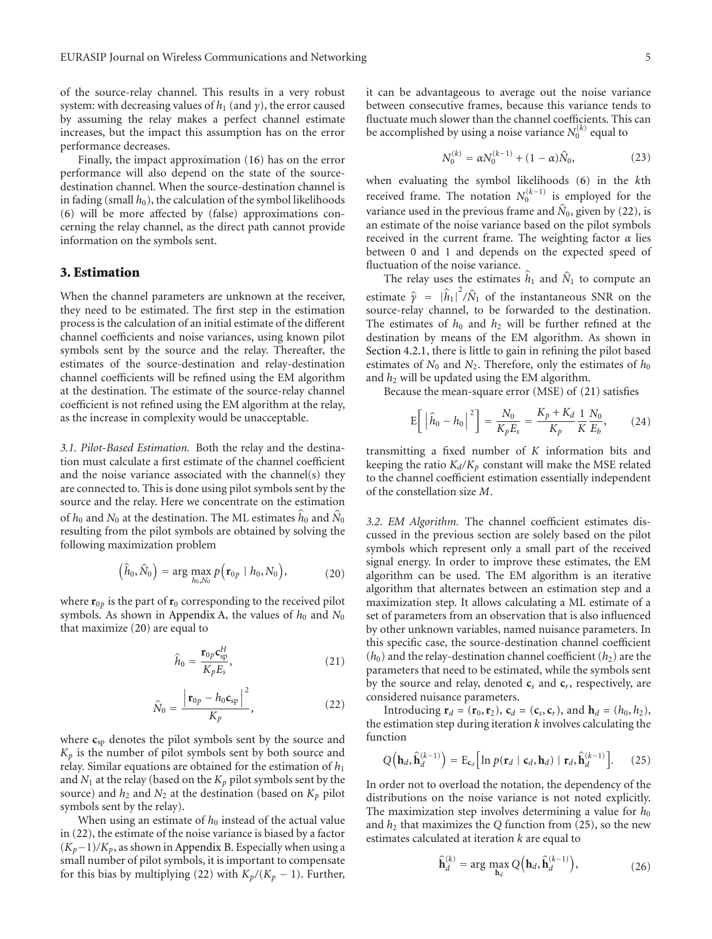of the source-relay channel. This results in a very robust system: with decreasing values of  $h_1$  (and  $\gamma$ ), the error caused by assuming the relay makes a perfect channel estimate increases, but the impact this assumption has on the error performance decreases.

Finally, the impact approximation (16) has on the error performance will also depend on the state of the sourcedestination channel. When the source-destination channel is in fading (small  $h_0$ ), the calculation of the symbol likelihoods (6) will be more affected by (false) approximations concerning the relay channel, as the direct path cannot provide information on the symbols sent.

#### **3. Estimation**

When the channel parameters are unknown at the receiver, they need to be estimated. The first step in the estimation process is the calculation of an initial estimate of the different channel coefficients and noise variances, using known pilot symbols sent by the source and the relay. Thereafter, the estimates of the source-destination and relay-destination channel coefficients will be refined using the EM algorithm at the destination. The estimate of the source-relay channel coefficient is not refined using the EM algorithm at the relay, as the increase in complexity would be unacceptable.

*3.1. Pilot-Based Estimation.* Both the relay and the destination must calculate a first estimate of the channel coefficient and the noise variance associated with the channel(s) they are connected to. This is done using pilot symbols sent by the source and the relay. Here we concentrate on the estimation of  $h_0$  and  $N_0$  at the destination. The ML estimates  $\hat{h}_0$  and  $\hat{N}_0$ resulting from the pilot symbols are obtained by solving the following maximization problem

$$
\left(\hat{h}_0, \hat{N}_0\right) = \arg\max_{h_0, N_0} p\left(\mathbf{r}_{0p} \mid h_0, N_0\right),\tag{20}
$$

where  $\mathbf{r}_{0p}$  is the part of  $\mathbf{r}_0$  corresponding to the received pilot symbols. As shown in Appendix A, the values of  $h_0$  and  $N_0$ that maximize (20) are equal to

$$
\hat{h}_0 = \frac{\mathbf{r}_{0p}\mathbf{c}_{\rm sp}^H}{K_p E_s},\tag{21}
$$

$$
\hat{N}_0 = \frac{\left|\mathbf{r}_{0p} - h_0 \mathbf{c}_{sp}\right|^2}{K_p},
$$
\n(22)

where  $c_{sp}$  denotes the pilot symbols sent by the source and  $K_p$  is the number of pilot symbols sent by both source and relay. Similar equations are obtained for the estimation of  $h_1$ and  $N_1$  at the relay (based on the  $K_p$  pilot symbols sent by the source) and  $h_2$  and  $N_2$  at the destination (based on  $K_p$  pilot symbols sent by the relay).

When using an estimate of  $h_0$  instead of the actual value in (22), the estimate of the noise variance is biased by a factor (*Kp*−1)*/Kp*, as shown in Appendix B. Especially when using a small number of pilot symbols, it is important to compensate for this bias by multiplying (22) with  $K_p/(K_p - 1)$ . Further, it can be advantageous to average out the noise variance between consecutive frames, because this variance tends to fluctuate much slower than the channel coefficients. This can be accomplished by using a noise variance  $N_0^{(k)}$  equal to

$$
N_0^{(k)} = \alpha N_0^{(k-1)} + (1 - \alpha)\hat{N}_0,
$$
\n(23)

when evaluating the symbol likelihoods (6) in the *k*th received frame. The notation  $N_0^{(k-1)}$  is employed for the variance used in the previous frame and  $\hat{N}_0$ , given by (22), is an estimate of the noise variance based on the pilot symbols received in the current frame. The weighting factor *α* lies between 0 and 1 and depends on the expected speed of fluctuation of the noise variance.

The relay uses the estimates  $\hat{h}_1$  and  $\hat{N}_1$  to compute an estimate  $\hat{\gamma} = |\hat{h}_1|$ <br>source relay chann  $\sqrt[2]{\hat{N}_1}$  of the instantaneous SNR on the source-relay channel, to be forwarded to the destination. The estimates of  $h_0$  and  $h_2$  will be further refined at the destination by means of the EM algorithm. As shown in Section 4.2.1, there is little to gain in refining the pilot based estimates of  $N_0$  and  $N_2$ . Therefore, only the estimates of  $h_0$ and  $h_2$  will be updated using the EM algorithm.

Because the mean-square error (MSE) of (21) satisfies

$$
E\left[\left|\hat{h}_0 - h_0\right|^2\right] = \frac{N_0}{K_p E_s} = \frac{K_p + K_d}{K_p} \frac{1}{K} \frac{N_0}{E_b},\tag{24}
$$

transmitting a fixed number of *K* information bits and keeping the ratio  $K_d/K_p$  constant will make the MSE related to the channel coefficient estimation essentially independent of the constellation size *M*.

*3.2. EM Algorithm.* The channel coefficient estimates discussed in the previous section are solely based on the pilot symbols which represent only a small part of the received signal energy. In order to improve these estimates, the EM algorithm can be used. The EM algorithm is an iterative algorithm that alternates between an estimation step and a maximization step. It allows calculating a ML estimate of a set of parameters from an observation that is also influenced by other unknown variables, named nuisance parameters. In this specific case, the source-destination channel coefficient  $(h_0)$  and the relay-destination channel coefficient  $(h_2)$  are the parameters that need to be estimated, while the symbols sent by the source and relay, denoted **c***<sup>s</sup>* and **c***r*, respectively, are considered nuisance parameters.

Introducing  $\mathbf{r}_d = (\mathbf{r}_0, \mathbf{r}_2)$ ,  $\mathbf{c}_d = (\mathbf{c}_s, \mathbf{c}_r)$ , and  $\mathbf{h}_d = (h_0, h_2)$ , the estimation step during iteration *k* involves calculating the function

$$
Q\left(\mathbf{h}_d, \hat{\mathbf{h}}_d^{(k-1)}\right) = \mathrm{E}_{\mathbf{c}_d} \Big[ \ln p(\mathbf{r}_d \mid \mathbf{c}_d, \mathbf{h}_d) \mid \mathbf{r}_d, \hat{\mathbf{h}}_d^{(k-1)} \Big]. \tag{25}
$$

In order not to overload the notation, the dependency of the distributions on the noise variance is not noted explicitly. The maximization step involves determining a value for  $h_0$ and  $h_2$  that maximizes the *Q* function from (25), so the new estimates calculated at iteration *k* are equal to

$$
\widehat{\mathbf{h}}_d^{(k)} = \arg \max_{\mathbf{h}_d} Q\Big(\mathbf{h}_d, \widehat{\mathbf{h}}_d^{(k-1)}\Big),\tag{26}
$$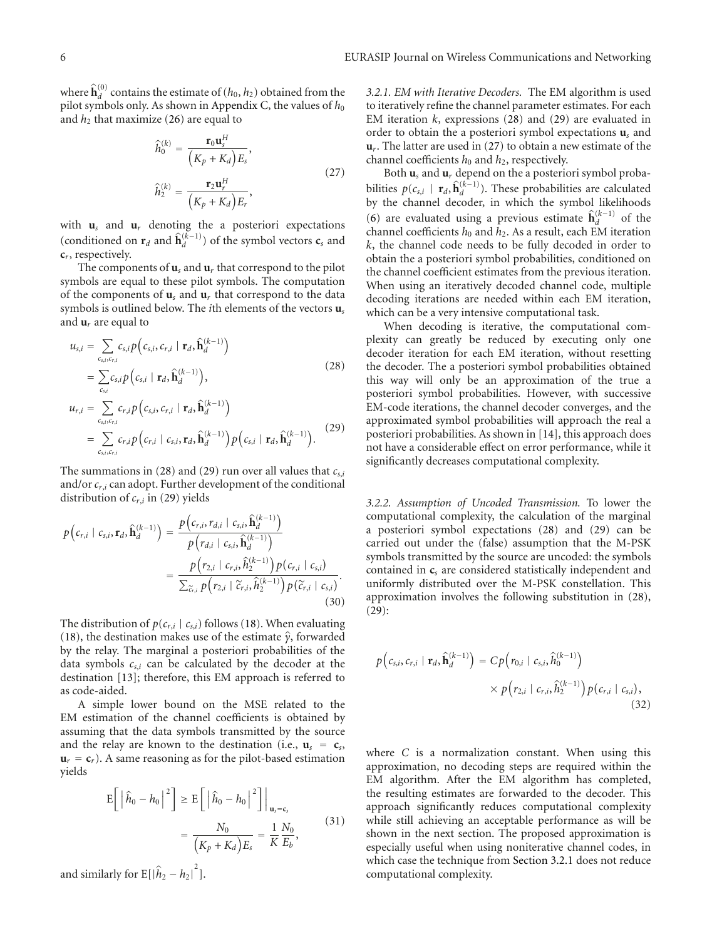where  $\hat{\mathbf{h}}_{d}^{(0)}$  contains the estimate of  $(h_0, h_2)$  obtained from the pilot symbols only. As shown in Appendix C, the values of  $h_0$ and  $h_2$  that maximize (26) are equal to

$$
\hat{h}_0^{(k)} = \frac{\mathbf{r}_0 \mathbf{u}_s^H}{\left(K_p + K_d\right) E_s},
$$
\n
$$
\hat{h}_2^{(k)} = \frac{\mathbf{r}_2 \mathbf{u}_r^H}{\left(K_p + K_d\right) E_r},
$$
\n(27)

with  $\mathbf{u}_s$  and  $\mathbf{u}_r$  denoting the a posteriori expectations (conditioned on  $\mathbf{r}_d$  and  $\hat{\mathbf{h}}_d^{(k-1)}$ ) of the symbol vectors  $\mathbf{c}_s$  and **c***r*, respectively.

The components of  $\mathbf{u}_s$  and  $\mathbf{u}_r$  that correspond to the pilot symbols are equal to these pilot symbols. The computation of the components of **u***<sup>s</sup>* and **u***<sup>r</sup>* that correspond to the data symbols is outlined below. The *i*th elements of the vectors **u***<sup>s</sup>* and **u***r* are equal to

$$
u_{s,i} = \sum_{c_{s,i},c_{r,i}} c_{s,i} p\left(c_{s,i}, c_{r,i} | \mathbf{r}_d, \hat{\mathbf{h}}_d^{(k-1)}\right)
$$
  
\n
$$
= \sum_{c_{s,i}} c_{s,i} p\left(c_{s,i} | \mathbf{r}_d, \hat{\mathbf{h}}_d^{(k-1)}\right),
$$
  
\n
$$
u_{r,i} = \sum_{c_{s,i},c_{r,i}} c_{r,i} p\left(c_{s,i}, c_{r,i} | \mathbf{r}_d, \hat{\mathbf{h}}_d^{(k-1)}\right)
$$
  
\n
$$
= \sum_{c_{s,i},c_{r,i}} c_{r,i} p\left(c_{r,i} | c_{s,i}, \mathbf{r}_d, \hat{\mathbf{h}}_d^{(k-1)}\right) p\left(c_{s,i} | \mathbf{r}_d, \hat{\mathbf{h}}_d^{(k-1)}\right).
$$
\n(29)

The summations in (28) and (29) run over all values that  $c_{s,i}$ and/or*cr*,*<sup>i</sup>* can adopt. Further development of the conditional distribution of *cr*,*<sup>i</sup>* in (29) yields

$$
p(c_{r,i} \mid c_{s,i}, \mathbf{r}_d, \hat{\mathbf{h}}_d^{(k-1)}) = \frac{p(c_{r,i}, r_{d,i} \mid c_{s,i}, \hat{\mathbf{h}}_d^{(k-1)})}{p(r_{d,i} \mid c_{s,i}, \hat{\mathbf{h}}_d^{(k-1)})} \\
= \frac{p(r_{2,i} \mid c_{r,i}, \hat{h}_2^{(k-1)}) p(c_{r,i} \mid c_{s,i})}{\sum_{\tilde{c}_{r,i}} p(r_{2,i} \mid \tilde{c}_{r,i}, \hat{h}_2^{(k-1)}) p(\tilde{c}_{r,i} \mid c_{s,i})}.
$$
\n(30)

The distribution of  $p(c_{r,i} | c_{s,i})$  follows (18). When evaluating (18), the destination makes use of the estimate *<sup>γ</sup>*, forwarded by the relay. The marginal a posteriori probabilities of the data symbols *cs*,*<sup>i</sup>* can be calculated by the decoder at the destination [13]; therefore, this EM approach is referred to as code-aided.

A simple lower bound on the MSE related to the EM estimation of the channel coefficients is obtained by assuming that the data symbols transmitted by the source and the relay are known to the destination (i.e.,  $\mathbf{u}_s = \mathbf{c}_s$ ,  $\mathbf{u}_r = \mathbf{c}_r$ ). A same reasoning as for the pilot-based estimation yields

$$
E\left[\left|\hat{h}_0 - h_0\right|^2\right] \ge E\left[\left|\hat{h}_0 - h_0\right|^2\right]\Big|_{\mathbf{u}_s = \mathbf{c}_s}
$$

$$
= \frac{N_0}{\left(K_p + K_d\right)E_s} = \frac{1}{K}\frac{N_0}{E_b},\tag{31}
$$

and similarly for  $\mathbb{E}[\left|\hat{h}_2 - h_2\right|^2]$ .

*3.2.1. EM with Iterative Decoders.* The EM algorithm is used to iteratively refine the channel parameter estimates. For each EM iteration *k*, expressions (28) and (29) are evaluated in order to obtain the a posteriori symbol expectations **u***<sup>s</sup>* and **u***r*. The latter are used in (27) to obtain a new estimate of the channel coefficients  $h_0$  and  $h_2$ , respectively.

Both **u***<sup>s</sup>* and **u***<sup>r</sup>* depend on the a posteriori symbol probabilities  $p(c_{s,i} | \mathbf{r}_d, \hat{\mathbf{h}}_d^{(k-1)})$ . These probabilities are calculated by the channel decoder, in which the symbol likelihoods (6) are evaluated using a previous estimate  $\hat{\mathbf{h}}_d^{(k-1)}$  of the channel coefficients  $h_0$  and  $h_2$ . As a result, each EM iteration *k*, the channel code needs to be fully decoded in order to obtain the a posteriori symbol probabilities, conditioned on the channel coefficient estimates from the previous iteration. When using an iteratively decoded channel code, multiple decoding iterations are needed within each EM iteration, which can be a very intensive computational task.

When decoding is iterative, the computational complexity can greatly be reduced by executing only one decoder iteration for each EM iteration, without resetting the decoder. The a posteriori symbol probabilities obtained this way will only be an approximation of the true a posteriori symbol probabilities. However, with successive EM-code iterations, the channel decoder converges, and the approximated symbol probabilities will approach the real a posteriori probabilities. As shown in [14], this approach does not have a considerable effect on error performance, while it significantly decreases computational complexity.

*3.2.2. Assumption of Uncoded Transmission.* To lower the computational complexity, the calculation of the marginal a posteriori symbol expectations (28) and (29) can be carried out under the (false) assumption that the M-PSK symbols transmitted by the source are uncoded: the symbols contained in **c***<sup>s</sup>* are considered statistically independent and uniformly distributed over the M-PSK constellation. This approximation involves the following substitution in (28), (29):

$$
p(c_{s,i}, c_{r,i} | \mathbf{r}_d, \hat{\mathbf{h}}_d^{(k-1)}) = Cp(r_{0,i} | c_{s,i}, \hat{h}_0^{(k-1)})
$$
  
 
$$
\times p(r_{2,i} | c_{r,i}, \hat{h}_2^{(k-1)}) p(c_{r,i} | c_{s,i}),
$$
  
(32)

where *C* is a normalization constant. When using this approximation, no decoding steps are required within the EM algorithm. After the EM algorithm has completed, the resulting estimates are forwarded to the decoder. This approach significantly reduces computational complexity while still achieving an acceptable performance as will be shown in the next section. The proposed approximation is especially useful when using noniterative channel codes, in which case the technique from Section 3.2.1 does not reduce computational complexity.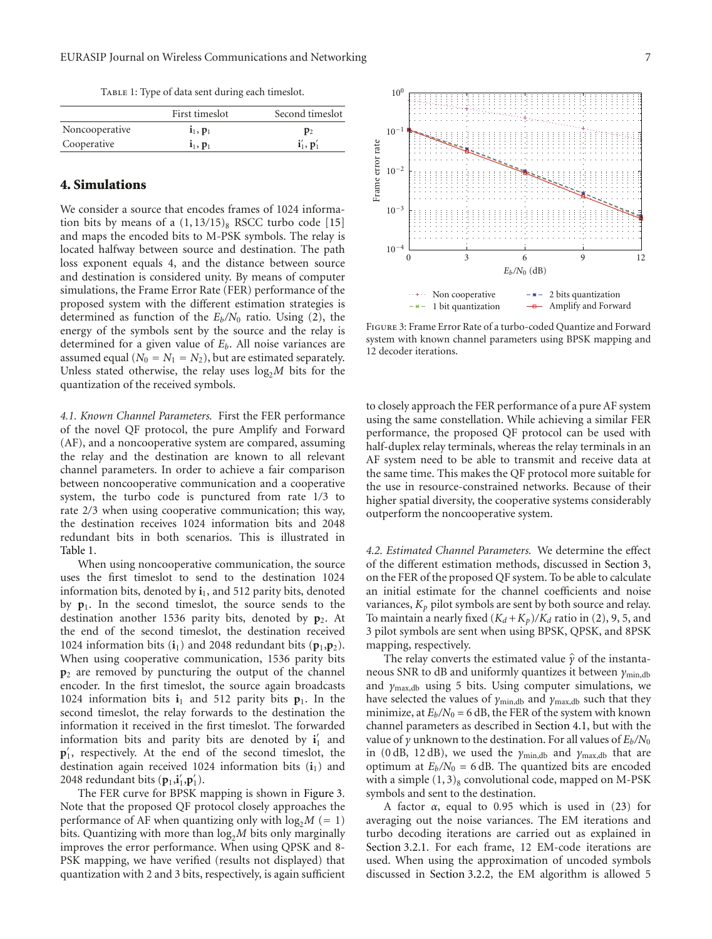TABLE 1: Type of data sent during each timeslot.

|                | First timeslot               | Second timeslot                |
|----------------|------------------------------|--------------------------------|
| Noncooperative | $1_1, p_1$                   | $\mathbf{p}_2$                 |
| Cooperative    | $\mathbf{i}_1, \mathbf{p}_1$ | $\mathbf{i}'_1, \mathbf{p}'_1$ |

#### **4. Simulations**

We consider a source that encodes frames of 1024 information bits by means of a  $(1, 13/15)$ <sub>8</sub> RSCC turbo code [15] and maps the encoded bits to M-PSK symbols. The relay is located halfway between source and destination. The path loss exponent equals 4, and the distance between source and destination is considered unity. By means of computer simulations, the Frame Error Rate (FER) performance of the proposed system with the different estimation strategies is determined as function of the *Eb/N*<sup>0</sup> ratio. Using (2), the energy of the symbols sent by the source and the relay is determined for a given value of *Eb*. All noise variances are assumed equal  $(N_0 = N_1 = N_2)$ , but are estimated separately. Unless stated otherwise, the relay uses  $log<sub>2</sub>M$  bits for the quantization of the received symbols.

*4.1. Known Channel Parameters.* First the FER performance of the novel QF protocol, the pure Amplify and Forward (AF), and a noncooperative system are compared, assuming the relay and the destination are known to all relevant channel parameters. In order to achieve a fair comparison between noncooperative communication and a cooperative system, the turbo code is punctured from rate 1*/*3 to rate 2*/*3 when using cooperative communication; this way, the destination receives 1024 information bits and 2048 redundant bits in both scenarios. This is illustrated in Table 1.

When using noncooperative communication, the source uses the first timeslot to send to the destination 1024 information bits, denoted by  $\mathbf{i}_1$ , and 512 parity bits, denoted by **p**1. In the second timeslot, the source sends to the destination another 1536 parity bits, denoted by **p**2. At the end of the second timeslot, the destination received 1024 information bits  $(i_1)$  and 2048 redundant bits  $(p_1, p_2)$ . When using cooperative communication, 1536 parity bits **p**<sup>2</sup> are removed by puncturing the output of the channel encoder. In the first timeslot, the source again broadcasts 1024 information bits  $\mathbf{i}_1$  and 512 parity bits  $\mathbf{p}_1$ . In the second timeslot, the relay forwards to the destination the information it received in the first timeslot. The forwarded information bits and parity bits are denoted by  $\mathbf{i}'_1$  and **p** 1, respectively. At the end of the second timeslot, the destination again received 1024 information bits  $(i_1)$  and 2048 redundant bits  $(\mathbf{p}_1, \mathbf{i}'_1, \mathbf{p}'_1)$ .

The FER curve for BPSK mapping is shown in Figure 3. Note that the proposed QF protocol closely approaches the performance of AF when quantizing only with  $log_2 M (= 1)$ bits. Quantizing with more than  $log<sub>2</sub>M$  bits only marginally improves the error performance. When using QPSK and 8- PSK mapping, we have verified (results not displayed) that quantization with 2 and 3 bits, respectively, is again sufficient



Figure 3: Frame Error Rate of a turbo-coded Quantize and Forward system with known channel parameters using BPSK mapping and 12 decoder iterations.

to closely approach the FER performance of a pure AF system using the same constellation. While achieving a similar FER performance, the proposed QF protocol can be used with half-duplex relay terminals, whereas the relay terminals in an AF system need to be able to transmit and receive data at the same time. This makes the QF protocol more suitable for the use in resource-constrained networks. Because of their higher spatial diversity, the cooperative systems considerably outperform the noncooperative system.

*4.2. Estimated Channel Parameters.* We determine the effect of the different estimation methods, discussed in Section 3, on the FER of the proposed QF system. To be able to calculate an initial estimate for the channel coefficients and noise variances,  $K_p$  pilot symbols are sent by both source and relay. To maintain a nearly fixed  $(K_d + K_p)/K_d$  ratio in (2), 9, 5, and 3 pilot symbols are sent when using BPSK, QPSK, and 8PSK mapping, respectively.

The relay converts the estimated value  $\hat{\gamma}$  of the instantaneous SNR to dB and uniformly quantizes it between *γ*min,db and *γ*max,db using 5 bits. Using computer simulations, we have selected the values of *γ*<sub>min,db</sub> and *γ*<sub>max,db</sub> such that they minimize, at  $E_b/N_0 = 6$  dB, the FER of the system with known channel parameters as described in Section 4.1, but with the value of *γ* unknown to the destination. For all values of *Eb/N*<sup>0</sup> in (0 dB, 12 dB), we used the  $\gamma_{\text{min,db}}$  and  $\gamma_{\text{max,db}}$  that are optimum at  $E_b/N_0 = 6$  dB. The quantized bits are encoded with a simple  $(1, 3)$ <sub>8</sub> convolutional code, mapped on M-PSK symbols and sent to the destination.

A factor *α*, equal to 0*.*95 which is used in (23) for averaging out the noise variances. The EM iterations and turbo decoding iterations are carried out as explained in Section 3.2.1. For each frame, 12 EM-code iterations are used. When using the approximation of uncoded symbols discussed in Section 3.2.2, the EM algorithm is allowed 5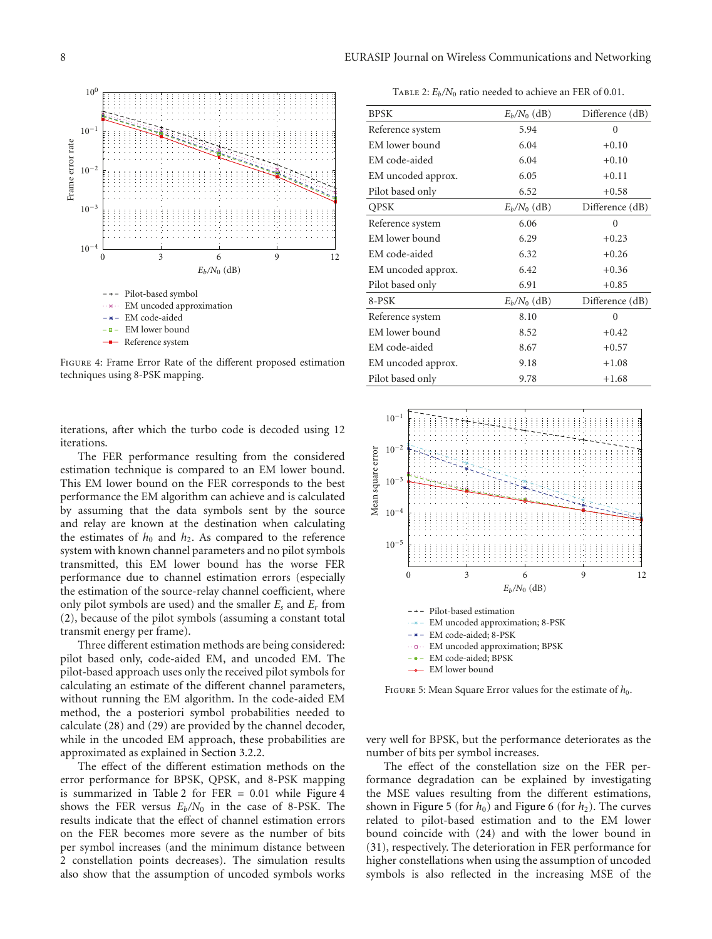

Figure 4: Frame Error Rate of the different proposed estimation techniques using 8-PSK mapping.

iterations, after which the turbo code is decoded using 12 iterations.

The FER performance resulting from the considered estimation technique is compared to an EM lower bound. This EM lower bound on the FER corresponds to the best performance the EM algorithm can achieve and is calculated by assuming that the data symbols sent by the source and relay are known at the destination when calculating the estimates of  $h_0$  and  $h_2$ . As compared to the reference system with known channel parameters and no pilot symbols transmitted, this EM lower bound has the worse FER performance due to channel estimation errors (especially the estimation of the source-relay channel coefficient, where only pilot symbols are used) and the smaller *Es* and *Er* from (2), because of the pilot symbols (assuming a constant total transmit energy per frame).

Three different estimation methods are being considered: pilot based only, code-aided EM, and uncoded EM. The pilot-based approach uses only the received pilot symbols for calculating an estimate of the different channel parameters, without running the EM algorithm. In the code-aided EM method, the a posteriori symbol probabilities needed to calculate (28) and (29) are provided by the channel decoder, while in the uncoded EM approach, these probabilities are approximated as explained in Section 3.2.2.

The effect of the different estimation methods on the error performance for BPSK, QPSK, and 8-PSK mapping is summarized in Table 2 for FER = 0.01 while Figure 4 shows the FER versus  $E_b/N_0$  in the case of 8-PSK. The results indicate that the effect of channel estimation errors on the FER becomes more severe as the number of bits per symbol increases (and the minimum distance between 2 constellation points decreases). The simulation results also show that the assumption of uncoded symbols works

TABLE 2:  $E_b/N_0$  ratio needed to achieve an FER of 0.01.

| <b>BPSK</b>        | $E_b/N_0$ (dB) | Difference (dB) |
|--------------------|----------------|-----------------|
| Reference system   | 5.94           | $\theta$        |
| EM lower bound     | 6.04           | $+0.10$         |
| EM code-aided      | 6.04           | $+0.10$         |
| EM uncoded approx. | 6.05           | $+0.11$         |
| Pilot based only   | 6.52           | $+0.58$         |
| QPSK               | $E_b/N_0$ (dB) | Difference (dB) |
| Reference system   | 6.06           | $\theta$        |
| EM lower bound     | 6.29           | $+0.23$         |
| EM code-aided      | 6.32           | $+0.26$         |
| EM uncoded approx. | 6.42           | $+0.36$         |
| Pilot based only   | 6.91           | $+0.85$         |
| 8-PSK              | $E_b/N_0$ (dB) | Difference (dB) |
| Reference system   | 8.10           | $\theta$        |
| EM lower bound     | 8.52           | $+0.42$         |
| EM code-aided      | 8.67           | $+0.57$         |
| EM uncoded approx. | 9.18           | $+1.08$         |
| Pilot based only   | 9.78           | $+1.68$         |
|                    |                |                 |



FIGURE 5: Mean Square Error values for the estimate of  $h_0$ .

very well for BPSK, but the performance deteriorates as the number of bits per symbol increases.

The effect of the constellation size on the FER performance degradation can be explained by investigating the MSE values resulting from the different estimations, shown in Figure 5 (for  $h_0$ ) and Figure 6 (for  $h_2$ ). The curves related to pilot-based estimation and to the EM lower bound coincide with (24) and with the lower bound in (31), respectively. The deterioration in FER performance for higher constellations when using the assumption of uncoded symbols is also reflected in the increasing MSE of the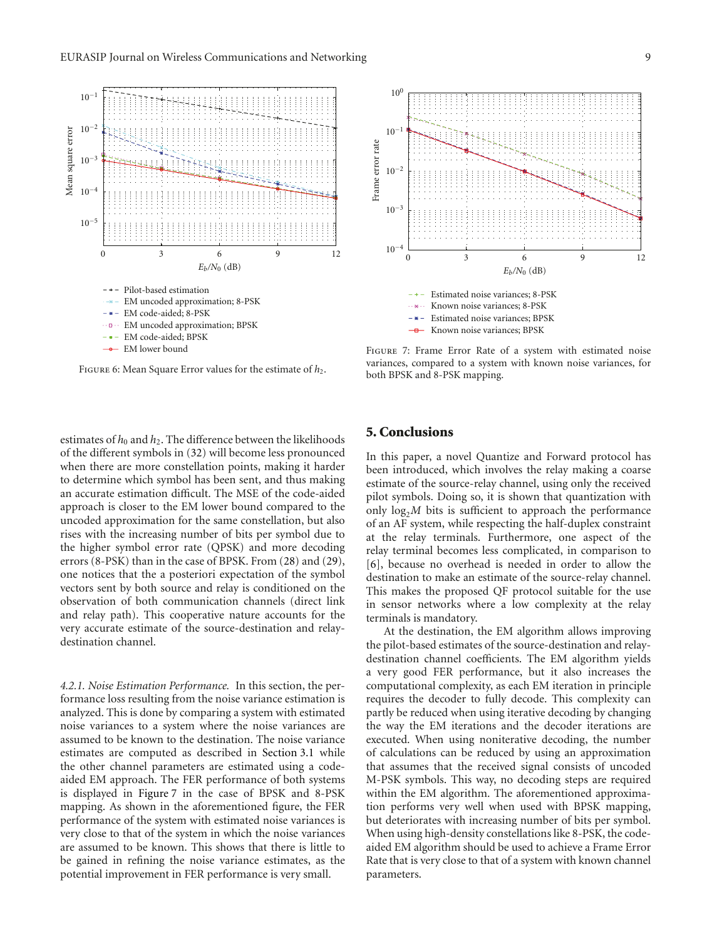

FIGURE 6: Mean Square Error values for the estimate of  $h_2$ .

estimates of  $h_0$  and  $h_2$ . The difference between the likelihoods of the different symbols in (32) will become less pronounced when there are more constellation points, making it harder to determine which symbol has been sent, and thus making an accurate estimation difficult. The MSE of the code-aided approach is closer to the EM lower bound compared to the uncoded approximation for the same constellation, but also rises with the increasing number of bits per symbol due to the higher symbol error rate (QPSK) and more decoding errors (8-PSK) than in the case of BPSK. From (28) and (29), one notices that the a posteriori expectation of the symbol vectors sent by both source and relay is conditioned on the observation of both communication channels (direct link and relay path). This cooperative nature accounts for the very accurate estimate of the source-destination and relaydestination channel.

*4.2.1. Noise Estimation Performance.* In this section, the performance loss resulting from the noise variance estimation is analyzed. This is done by comparing a system with estimated noise variances to a system where the noise variances are assumed to be known to the destination. The noise variance estimates are computed as described in Section 3.1 while the other channel parameters are estimated using a codeaided EM approach. The FER performance of both systems is displayed in Figure 7 in the case of BPSK and 8-PSK mapping. As shown in the aforementioned figure, the FER performance of the system with estimated noise variances is very close to that of the system in which the noise variances are assumed to be known. This shows that there is little to be gained in refining the noise variance estimates, as the potential improvement in FER performance is very small.



Figure 7: Frame Error Rate of a system with estimated noise variances, compared to a system with known noise variances, for both BPSK and 8-PSK mapping.

#### **5. Conclusions**

In this paper, a novel Quantize and Forward protocol has been introduced, which involves the relay making a coarse estimate of the source-relay channel, using only the received pilot symbols. Doing so, it is shown that quantization with only  $log<sub>2</sub>M$  bits is sufficient to approach the performance of an AF system, while respecting the half-duplex constraint at the relay terminals. Furthermore, one aspect of the relay terminal becomes less complicated, in comparison to [6], because no overhead is needed in order to allow the destination to make an estimate of the source-relay channel. This makes the proposed QF protocol suitable for the use in sensor networks where a low complexity at the relay terminals is mandatory.

At the destination, the EM algorithm allows improving the pilot-based estimates of the source-destination and relaydestination channel coefficients. The EM algorithm yields a very good FER performance, but it also increases the computational complexity, as each EM iteration in principle requires the decoder to fully decode. This complexity can partly be reduced when using iterative decoding by changing the way the EM iterations and the decoder iterations are executed. When using noniterative decoding, the number of calculations can be reduced by using an approximation that assumes that the received signal consists of uncoded M-PSK symbols. This way, no decoding steps are required within the EM algorithm. The aforementioned approximation performs very well when used with BPSK mapping, but deteriorates with increasing number of bits per symbol. When using high-density constellations like 8-PSK, the codeaided EM algorithm should be used to achieve a Frame Error Rate that is very close to that of a system with known channel parameters.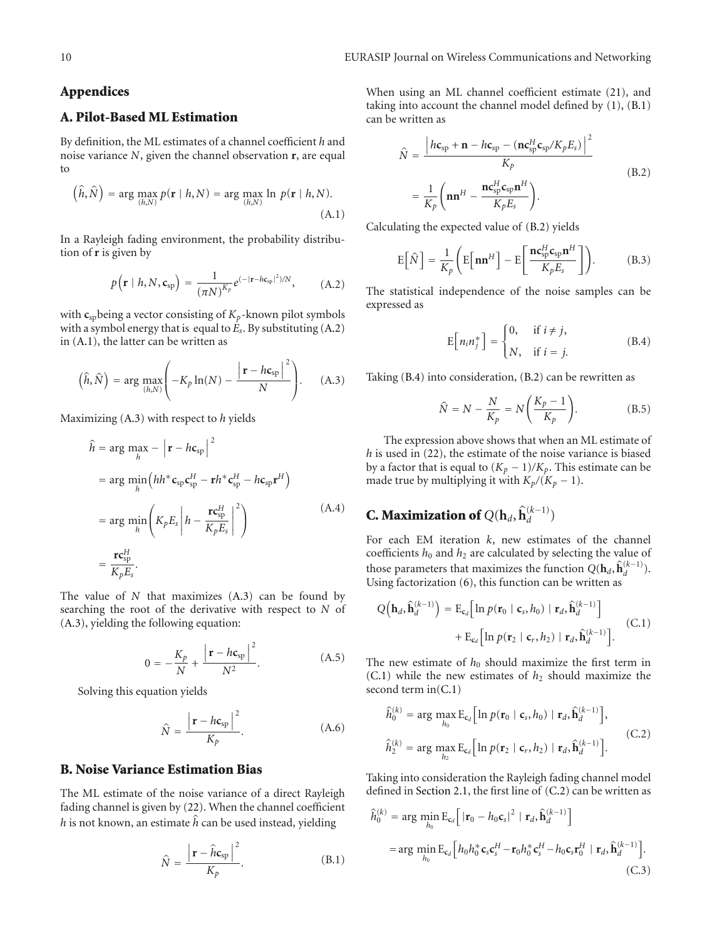#### **Appendices**

#### **A. Pilot-Based ML Estimation**

By definition, the ML estimates of a channel coefficient *h* and noise variance *N*, given the channel observation **r**, are equal to

$$
\left(\hat{h}, \hat{N}\right) = \arg\max_{(h,N)} p(\mathbf{r} \mid h, N) = \arg\max_{(h,N)} \ln p(\mathbf{r} \mid h, N). \tag{A.1}
$$

In a Rayleigh fading environment, the probability distribution of **r** is given by

$$
p(\mathbf{r} \mid h, N, \mathbf{c}_{sp}) = \frac{1}{(\pi N)^{K_p}} e^{(-|\mathbf{r} - h\mathbf{c}_{sp}|^2)/N}, \quad (A.2)
$$

with  $c_{\rm sb}$  being a vector consisting of  $K_p$ -known pilot symbols with a symbol energy that is equal to *Es*. By substituting (A.2) in (A.1), the latter can be written as

$$
\left(\hat{h},\hat{N}\right) = \arg\max_{(h,N)} \left(-K_p \ln(N) - \frac{\left|\mathbf{r} - h\mathbf{c}_{sp}\right|^2}{N}\right). \tag{A.3}
$$

Maximizing (A.3) with respect to *h* yields

$$
\hat{h} = \arg \max_{h} - \left| \mathbf{r} - h \mathbf{c}_{sp} \right|^{2}
$$
\n
$$
= \arg \min_{h} \left( h h^{*} \mathbf{c}_{sp} \mathbf{c}_{sp}^{H} - \mathbf{r} h^{*} \mathbf{c}_{sp}^{H} - h \mathbf{c}_{sp} \mathbf{r}^{H} \right)
$$
\n
$$
= \arg \min_{h} \left( K_{p} E_{s} \left| h - \frac{\mathbf{r} \mathbf{c}_{sp}^{H}}{K_{p} E_{s}} \right|^{2} \right)
$$
\n
$$
= \frac{\mathbf{r} \mathbf{c}_{sp}^{H}}{K_{p} E_{s}}.
$$
\n(A.4)

The value of *N* that maximizes (A.3) can be found by searching the root of the derivative with respect to *N* of (A.3), yielding the following equation:

$$
0 = -\frac{K_p}{N} + \frac{\left| \mathbf{r} - h \mathbf{c}_{sp} \right|^2}{N^2}.
$$
 (A.5)

Solving this equation yields

$$
\hat{N} = \frac{\left|\mathbf{r} - h\mathbf{c}_{\rm sp}\right|^{2}}{K_{p}}.
$$
\n(A.6)

#### **B. Noise Variance Estimation Bias**

The ML estimate of the noise variance of a direct Rayleigh fading channel is given by (22). When the channel coefficient *h* is not known, an estimate  $\hat{h}$  can be used instead, yielding

$$
\hat{N} = \frac{\left|\mathbf{r} - \hat{h}\mathbf{c}_{\rm sp}\right|^{2}}{K_{p}}.
$$
\n(B.1)

When using an ML channel coefficient estimate (21), and taking into account the channel model defined by (1), (B.1) can be written as

$$
\hat{N} = \frac{\left| hc_{\rm sp} + \mathbf{n} - hc_{\rm sp} - (\mathbf{n} \mathbf{c}_{\rm sp}^H \mathbf{c}_{\rm sp} / K_p E_s) \right|^2}{K_p}
$$
\n
$$
= \frac{1}{K_p} \left( \mathbf{n} \mathbf{n}^H - \frac{\mathbf{n} \mathbf{c}_{\rm sp}^H \mathbf{c}_{\rm sp} \mathbf{n}^H}{K_p E_s} \right).
$$
\n(B.2)

Calculating the expected value of (B.2) yields

$$
E\left[\hat{N}\right] = \frac{1}{K_p} \left( E\left[\mathbf{n}\mathbf{n}^H\right] - E\left[\frac{\mathbf{n}\mathbf{c}_{sp}^H \mathbf{c}_{sp} \mathbf{n}^H}{K_p E_s}\right]\right). \tag{B.3}
$$

The statistical independence of the noise samples can be expressed as

$$
E[n_i n_j^*] = \begin{cases} 0, & \text{if } i \neq j, \\ N, & \text{if } i = j. \end{cases}
$$
 (B.4)

Taking (B.4) into consideration, (B.2) can be rewritten as

$$
\hat{N} = N - \frac{N}{K_p} = N \left( \frac{K_p - 1}{K_p} \right). \tag{B.5}
$$

The expression above shows that when an ML estimate of *h* is used in (22), the estimate of the noise variance is biased by a factor that is equal to  $(K_p - 1)/K_p$ . This estimate can be made true by multiplying it with  $K_p/(K_p - 1)$ .

# **C. Maximization of**  $Q(\mathbf{h}_d, \hat{\mathbf{h}}_d^{(k-1)})$

For each EM iteration *k*, new estimates of the channel coefficients  $h_0$  and  $h_2$  are calculated by selecting the value of those parameters that maximizes the function  $Q(\mathbf{h}_d, \hat{\mathbf{h}}_d^{(k-1)})$ . Using factorization (6), this function can be written as

$$
Q\left(\mathbf{h}_d, \hat{\mathbf{h}}_d^{(k-1)}\right) = \mathrm{E}_{\mathbf{c}_d} \Big[ \ln p(\mathbf{r}_0 \mid \mathbf{c}_s, h_0) \mid \mathbf{r}_d, \hat{\mathbf{h}}_d^{(k-1)} \Big] + \mathrm{E}_{\mathbf{c}_d} \Big[ \ln p(\mathbf{r}_2 \mid \mathbf{c}_r, h_2) \mid \mathbf{r}_d, \hat{\mathbf{h}}_d^{(k-1)} \Big]. \tag{C.1}
$$

The new estimate of  $h_0$  should maximize the first term in  $(C.1)$  while the new estimates of  $h_2$  should maximize the second term in(C.1)

$$
\hat{h}_0^{(k)} = \arg \max_{h_0} \mathbf{E}_{\mathbf{c}_d} \Big[ \ln p(\mathbf{r}_0 | \mathbf{c}_s, h_0) | \mathbf{r}_d, \hat{\mathbf{h}}_d^{(k-1)} \Big],
$$
\n
$$
\hat{h}_2^{(k)} = \arg \max_{h_2} \mathbf{E}_{\mathbf{c}_d} \Big[ \ln p(\mathbf{r}_2 | \mathbf{c}_r, h_2) | \mathbf{r}_d, \hat{\mathbf{h}}_d^{(k-1)} \Big].
$$
\n(C.2)

Taking into consideration the Rayleigh fading channel model defined in Section 2.1, the first line of (C.2) can be written as

$$
\hat{h}_0^{(k)} = \arg\min_{h_0} \mathbf{E}_{\mathbf{c}_d} \Big[ |\mathbf{r}_0 - h_0 \mathbf{c}_s|^2 | \mathbf{r}_d, \hat{\mathbf{h}}_d^{(k-1)} \Big]
$$
\n
$$
= \arg\min_{h_0} \mathbf{E}_{\mathbf{c}_d} \Big[ h_0 h_0^* \mathbf{c}_s \mathbf{c}_s^H - \mathbf{r}_0 h_0^* \mathbf{c}_s^H - h_0 \mathbf{c}_s \mathbf{r}_0^H | \mathbf{r}_d, \hat{\mathbf{h}}_d^{(k-1)} \Big].
$$
\n(C.3)